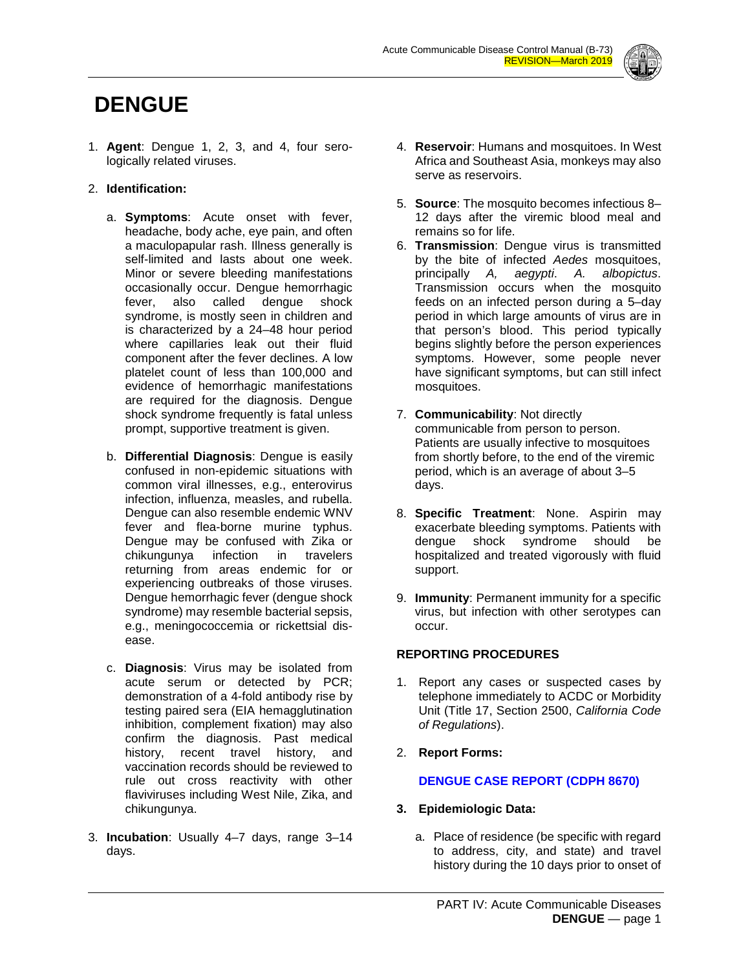

# **DENGUE**

1. **Agent**: Dengue 1, 2, 3, and 4, four serologically related viruses.

# 2. **Identification:**

- a. **Symptoms**: Acute onset with fever, headache, body ache, eye pain, and often a maculopapular rash. Illness generally is self-limited and lasts about one week. Minor or severe bleeding manifestations occasionally occur. Dengue hemorrhagic fever, also called dengue shock syndrome, is mostly seen in children and is characterized by a 24–48 hour period where capillaries leak out their fluid component after the fever declines. A low platelet count of less than 100,000 and evidence of hemorrhagic manifestations are required for the diagnosis. Dengue shock syndrome frequently is fatal unless prompt, supportive treatment is given.
- b. **Differential Diagnosis**: Dengue is easily confused in non-epidemic situations with common viral illnesses, e.g., enterovirus infection, influenza, measles, and rubella. Dengue can also resemble endemic WNV fever and flea-borne murine typhus. Dengue may be confused with Zika or chikungunya infection in travelers returning from areas endemic for or experiencing outbreaks of those viruses. Dengue hemorrhagic fever (dengue shock syndrome) may resemble bacterial sepsis, e.g., meningococcemia or rickettsial disease.
- c. **Diagnosis**: Virus may be isolated from acute serum or detected by PCR; demonstration of a 4-fold antibody rise by testing paired sera (EIA hemagglutination inhibition, complement fixation) may also confirm the diagnosis. Past medical history, recent travel history, and vaccination records should be reviewed to rule out cross reactivity with other flaviviruses including West Nile, Zika, and chikungunya.
- 3. **Incubation**: Usually 4–7 days, range 3–14 days.
- 4. **Reservoir**: Humans and mosquitoes. In West Africa and Southeast Asia, monkeys may also serve as reservoirs.
- 5. **Source**: The mosquito becomes infectious 8– 12 days after the viremic blood meal and remains so for life.
- 6. **Transmission**: Dengue virus is transmitted by the bite of infected *Aedes* mosquitoes, principally *A, aegypti*. *A. albopictus*. Transmission occurs when the mosquito feeds on an infected person during a 5–day period in which large amounts of virus are in that person's blood. This period typically begins slightly before the person experiences symptoms. However, some people never have significant symptoms, but can still infect mosquitoes.
- 7. **Communicability**: Not directly communicable from person to person. Patients are usually infective to mosquitoes from shortly before, to the end of the viremic period, which is an average of about 3–5 days.
- 8. **Specific Treatment**: None. Aspirin may exacerbate bleeding symptoms. Patients with dengue shock syndrome should be hospitalized and treated vigorously with fluid support.
- 9. **Immunity**: Permanent immunity for a specific virus, but infection with other serotypes can occur.

## **REPORTING PROCEDURES**

- 1. Report any cases or suspected cases by telephone immediately to ACDC or Morbidity Unit (Title 17, Section 2500, *California Code of Regulations*).
- 2. **Report Forms:**

# **DENGUE [CASE REPORT \(CDPH](http://www.publichealth.lacounty.gov/acd/Diseases/EpiForms/DengueRep.pdf) 8670)**

- **3. Epidemiologic Data:**
	- a. Place of residence (be specific with regard to address, city, and state) and travel history during the 10 days prior to onset of